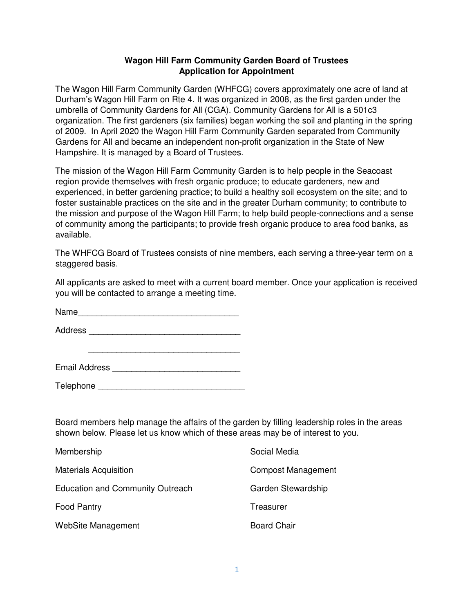## **Wagon Hill Farm Community Garden Board of Trustees Application for Appointment**

The Wagon Hill Farm Community Garden (WHFCG) covers approximately one acre of land at Durham's Wagon Hill Farm on Rte 4. It was organized in 2008, as the first garden under the umbrella of Community Gardens for All (CGA). Community Gardens for All is a 501c3 organization. The first gardeners (six families) began working the soil and planting in the spring of 2009. In April 2020 the Wagon Hill Farm Community Garden separated from Community Gardens for All and became an independent non-profit organization in the State of New Hampshire. It is managed by a Board of Trustees.

The mission of the Wagon Hill Farm Community Garden is to help people in the Seacoast region provide themselves with fresh organic produce; to educate gardeners, new and experienced, in better gardening practice; to build a healthy soil ecosystem on the site; and to foster sustainable practices on the site and in the greater Durham community; to contribute to the mission and purpose of the Wagon Hill Farm; to help build people-connections and a sense of community among the participants; to provide fresh organic produce to area food banks, as available.

The WHFCG Board of Trustees consists of nine members, each serving a three-year term on a staggered basis.

All applicants are asked to meet with a current board member. Once your application is received you will be contacted to arrange a meeting time.

Name\_\_\_\_\_\_\_\_\_\_\_\_\_\_\_\_\_\_\_\_\_\_\_\_\_\_\_\_\_\_\_\_\_\_

Address \_\_\_\_\_\_\_\_\_\_\_\_\_\_\_\_\_\_\_\_\_\_\_\_\_\_\_\_\_\_\_\_

\_\_\_\_\_\_\_\_\_\_\_\_\_\_\_\_\_\_\_\_\_\_\_\_\_\_\_\_\_\_\_\_

| <b>Email Address</b> |
|----------------------|
|                      |

Telephone \_\_\_\_\_\_\_\_\_\_\_\_\_\_\_\_\_\_\_\_\_\_\_\_\_\_\_\_\_\_\_

Board members help manage the affairs of the garden by filling leadership roles in the areas shown below. Please let us know which of these areas may be of interest to you.

| Membership                       | Social Media              |
|----------------------------------|---------------------------|
| <b>Materials Acquisition</b>     | <b>Compost Management</b> |
| Education and Community Outreach | Garden Stewardship        |
| <b>Food Pantry</b>               | Treasurer                 |
| WebSite Management               | <b>Board Chair</b>        |